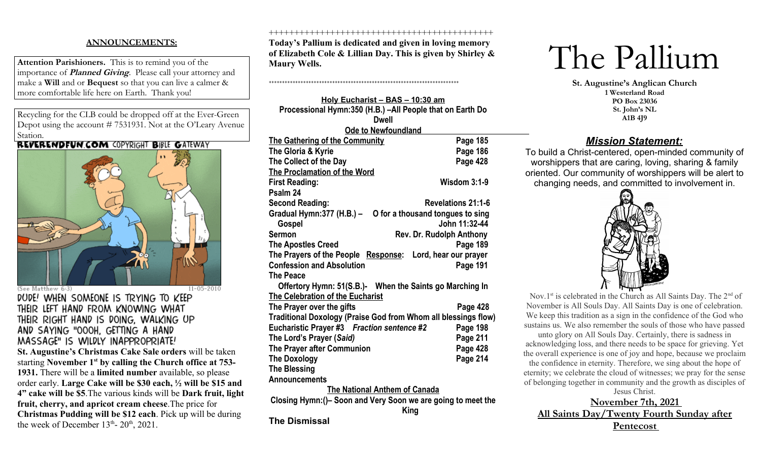# **ANNOUNCEMENTS:**

**Attention Parishioners.** This is to remind you of the importance of **Planned Giving**. Please call your attorney and make a **Will** and or **Bequest** so that you can live a calmer & more comfortable life here on Earth. Thank you!

Recycling for the CLB could be dropped off at the Ever-Green Depot using the account # 7531931. Not at the O'Leary Avenue Station.<br>REVERENDFUN.COM COPYRIGHT BIBLE GATEWAY



(See Matthew 6:3)

 $11 - 05 - 2010$ DUDE! WHEN SOMEONE IS TRYING TO KEEP THEIR LEFT HAND FROM KNOWING WHAT THEIR RIGHT HAND IS DOING, WALKING UP AND SAYING "OOOH, GETTING A HAND MASSAGE" IS WILDLY INAPPROPRIATE!

**St. Augustine's Christmas Cake Sale orders** will be taken starting **November 1st by calling the Church office at 753- 1931.** There will be a **limited number** available, so please order early. **Large Cake will be \$30 each, ½ will be \$15 and 4" cake will be \$5**.The various kinds will be **Dark fruit, light fruit, cherry, and apricot cream cheese**.The price for **Christmas Pudding will be \$12 each**. Pick up will be during the week of December  $13<sup>th</sup>$ -  $20<sup>th</sup>$ ,  $2021$ .

++++++++++++++++++++++++++++++++++++++++++++

**Today's Pallium is dedicated and given in loving memory of Elizabeth Cole & Lillian Day. This is given by Shirley & Maury Wells.**

**Holy Eucharist – BAS – 10:30 am Processional Hymn:350 (H.B.) –All People that on Earth Do Dwell Ode to Newfoundland** 

++++++++++++++++++++++++++++++++++++++++++++++++++++++++++++++++++++++++

| The Gathering of the Community                                 | Page 185                  |  |  |  |
|----------------------------------------------------------------|---------------------------|--|--|--|
| The Gloria & Kyrie                                             | Page 186                  |  |  |  |
| The Collect of the Day                                         | Page 428                  |  |  |  |
| <b>The Proclamation of the Word</b>                            |                           |  |  |  |
| <b>First Reading:</b>                                          | <b>Wisdom 3:1-9</b>       |  |  |  |
| Psalm 24                                                       |                           |  |  |  |
| <b>Second Reading:</b>                                         | <b>Revelations 21:1-6</b> |  |  |  |
| Gradual Hymn: 377 (H.B.) -<br>O for a thousand tongues to sing |                           |  |  |  |
| Gospel                                                         | John 11:32-44             |  |  |  |
| <b>Sermon</b><br>Rev. Dr. Rudolph Anthony                      |                           |  |  |  |
| <b>The Apostles Creed</b>                                      | Page 189                  |  |  |  |
| The Prayers of the People Response: Lord, hear our prayer      |                           |  |  |  |
| <b>Confession and Absolution</b>                               | Page 191                  |  |  |  |
| <b>The Peace</b>                                               |                           |  |  |  |
| Offertory Hymn: 51(S.B.)- When the Saints go Marching In       |                           |  |  |  |
| The Celebration of the Eucharist                               |                           |  |  |  |
| The Prayer over the gifts                                      | Page 428                  |  |  |  |
| Traditional Doxology (Praise God from Whom all blessings flow) |                           |  |  |  |
| Eucharistic Prayer #3 Fraction sentence #2                     | Page 198                  |  |  |  |
| The Lord's Prayer (Said)                                       | Page 211                  |  |  |  |
| The Prayer after Communion                                     | Page 428                  |  |  |  |
| <b>The Doxology</b>                                            | Page 214                  |  |  |  |
| <b>The Blessing</b>                                            |                           |  |  |  |
| <b>Announcements</b>                                           |                           |  |  |  |
| <b>The National Anthem of Canada</b>                           |                           |  |  |  |
| Closing Hymn: ()- Soon and Very Soon we are going to meet the  |                           |  |  |  |

**King** 

**The Dismissal**



**St. Augustine's Anglican Church 1 Westerland Road PO Box 23036 St. John's NL A1B 4J9**

# *Mission Statement:*

To build a Christ-centered, open-minded community of worshippers that are caring, loving, sharing & family oriented. Our community of worshippers will be alert to changing needs, and committed to involvement in.



Nov.1st is celebrated in the Church as All Saints Day. The  $2<sup>nd</sup>$  of November is All Souls Day. All Saints Day is one of celebration. We keep this tradition as a sign in the confidence of the God who sustains us. We also remember the souls of those who have passed unto glory on All Souls Day. Certainly, there is sadness in

acknowledging loss, and there needs to be space for grieving. Yet the overall experience is one of joy and hope, because we proclaim the confidence in eternity. Therefore, we sing about the hope of eternity; we celebrate the cloud of witnesses; we pray for the sense of belonging together in community and the growth as disciples of

Jesus Christ. **November 7th, 2021 All Saints Day/Twenty Fourth Sunday after Pentecost**